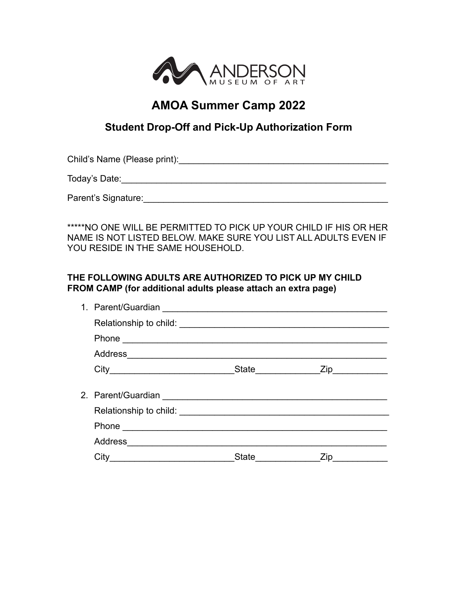

## **AMOA Summer Camp 2022**

## **Student Drop-Off and Pick-Up Authorization Form**

Child's Name (Please print):\_\_\_\_\_\_\_\_\_\_\_\_\_\_\_\_\_\_\_\_\_\_\_\_\_\_\_\_\_\_\_\_\_\_\_\_\_\_\_\_\_\_

Today's Date:\_\_\_\_\_\_\_\_\_\_\_\_\_\_\_\_\_\_\_\_\_\_\_\_\_\_\_\_\_\_\_\_\_\_\_\_\_\_\_\_\_\_\_\_\_\_\_\_\_\_\_\_\_

Parent's Signature:\_\_\_\_\_\_\_\_\_\_\_\_\_\_\_\_\_\_\_\_\_\_\_\_\_\_\_\_\_\_\_\_\_\_\_\_\_\_\_\_\_\_\_\_\_\_\_\_\_

\*\*\*\*\*NO ONE WILL BE PERMITTED TO PICK UP YOUR CHILD IF HIS OR HER NAME IS NOT LISTED BELOW. MAKE SURE YOU LIST ALL ADULTS EVEN IF YOU RESIDE IN THE SAME HOUSEHOLD.

## **THE FOLLOWING ADULTS ARE AUTHORIZED TO PICK UP MY CHILD FROM CAMP (for additional adults please attach an extra page)**

| Phone experience and the set of the set of the set of the set of the set of the set of the set of the set of the set of the set of the set of the set of the set of the set of the set of the set of the set of the set of the |      |
|--------------------------------------------------------------------------------------------------------------------------------------------------------------------------------------------------------------------------------|------|
|                                                                                                                                                                                                                                |      |
| City                                                                                                                                                                                                                           | Zip. |